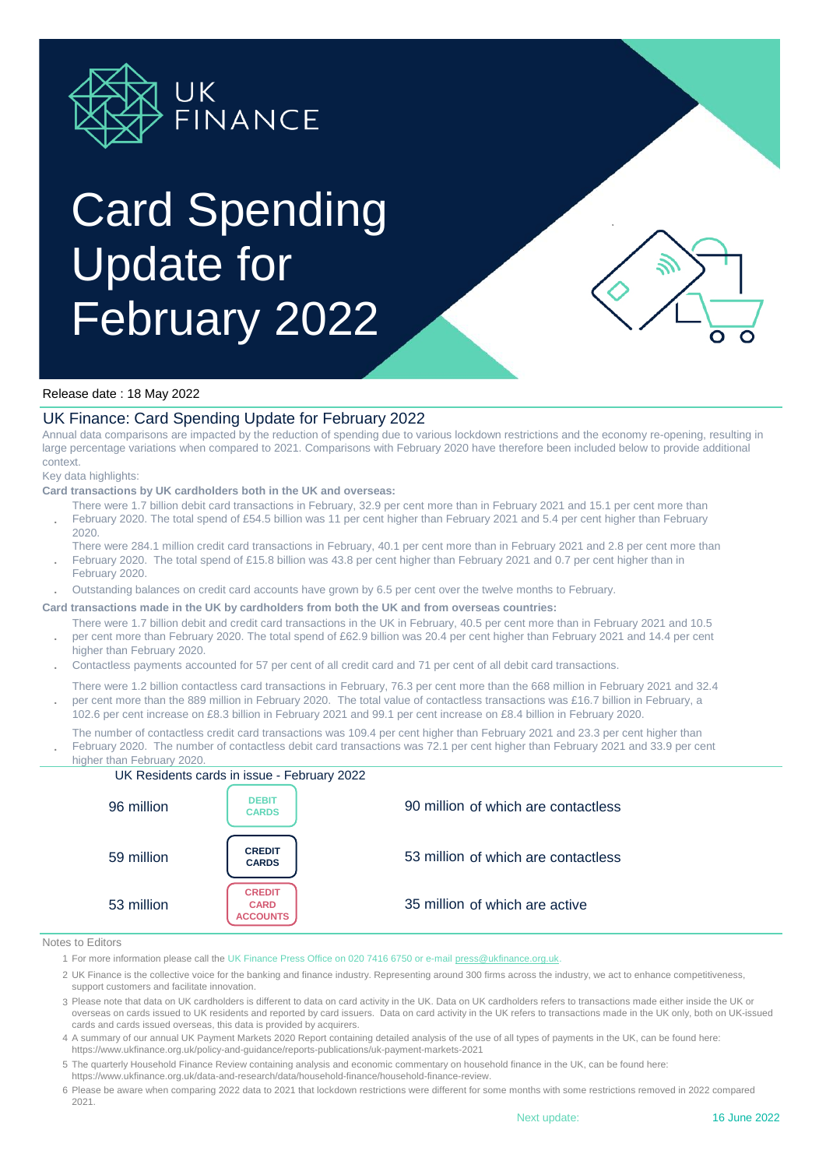

# Card Spending Update for February 2022

Ο

## Release date : 18 May 2022

## UK Finance: Card Spending Update for February 2022

Annual data comparisons are impacted by the reduction of spending due to various lockdown restrictions and the economy re-opening, resulting in large percentage variations when compared to 2021. Comparisons with February 2020 have therefore been included below to provide additional context.

#### Key data highlights:

### **Card transactions by UK cardholders both in the UK and overseas:**

- **.** There were 1.7 billion debit card transactions in February, 32.9 per cent more than in February 2021 and 15.1 per cent more than February 2020. The total spend of £54.5 billion was 11 per cent higher than February 2021 and 5.4 per cent higher than February 2020.
- There were 284.1 million credit card transactions in February, 40.1 per cent more than in February 2021 and 2.8 per cent more than
- **.** February 2020. The total spend of £15.8 billion was 43.8 per cent higher than February 2021 and 0.7 per cent higher than in February 2020.
- **.** Outstanding balances on credit card accounts have grown by 6.5 per cent over the twelve months to February.
- **Card transactions made in the UK by cardholders from both the UK and from overseas countries:**
	- **.** There were 1.7 billion debit and credit card transactions in the UK in February, 40.5 per cent more than in February 2021 and 10.5 per cent more than February 2020. The total spend of £62.9 billion was 20.4 per cent higher than February 2021 and 14.4 per cent higher than February 2020.
	- **.** Contactless payments accounted for 57 per cent of all credit card and 71 per cent of all debit card transactions.
	- **.** There were 1.2 billion contactless card transactions in February, 76.3 per cent more than the 668 million in February 2021 and 32.4 per cent more than the 889 million in February 2020. The total value of contactless transactions was £16.7 billion in February, a 102.6 per cent increase on £8.3 billion in February 2021 and 99.1 per cent increase on £8.4 billion in February 2020.
	- **.** The number of contactless credit card transactions was 109.4 per cent higher than February 2021 and 23.3 per cent higher than February 2020. The number of contactless debit card transactions was 72.1 per cent higher than February 2021 and 33.9 per cent



#### Notes to Editors

- 1 For more information please call the UK Finance Press Office on 020 7416 6750 or e-mail press@ukfinance.org.uk.
- 2 UK Finance is the collective voice for the banking and finance industry. Representing around 300 firms across the industry, we act to enhance competitiveness, support customers and facilitate innovation.
- 3 Please note that data on UK cardholders is different to data on card activity in the UK. Data on UK cardholders refers to transactions made either inside the UK or overseas on cards issued to UK residents and reported by card issuers. Data on card activity in the UK refers to transactions made in the UK only, both on UK-issued cards and cards issued overseas, this data is provided by acquirers.
- 4 A summary of our annual UK Payment Markets 2020 Report containing detailed analysis of the use of all types of payments in the UK, can be found here: https://www.ukfinance.org.uk/policy-and-guidance/reports-publications/uk-payment-markets-2021
- 5 The quarterly Household Finance Review containing analysis and economic commentary on household finance in the UK, can be found here:
- https://www.ukfinance.org.uk/data-and-research/data/household-finance/household-finance-review.
- 6 Please be aware when comparing 2022 data to 2021 that lockdown restrictions were different for some months with some restrictions removed in 2022 compared 2021.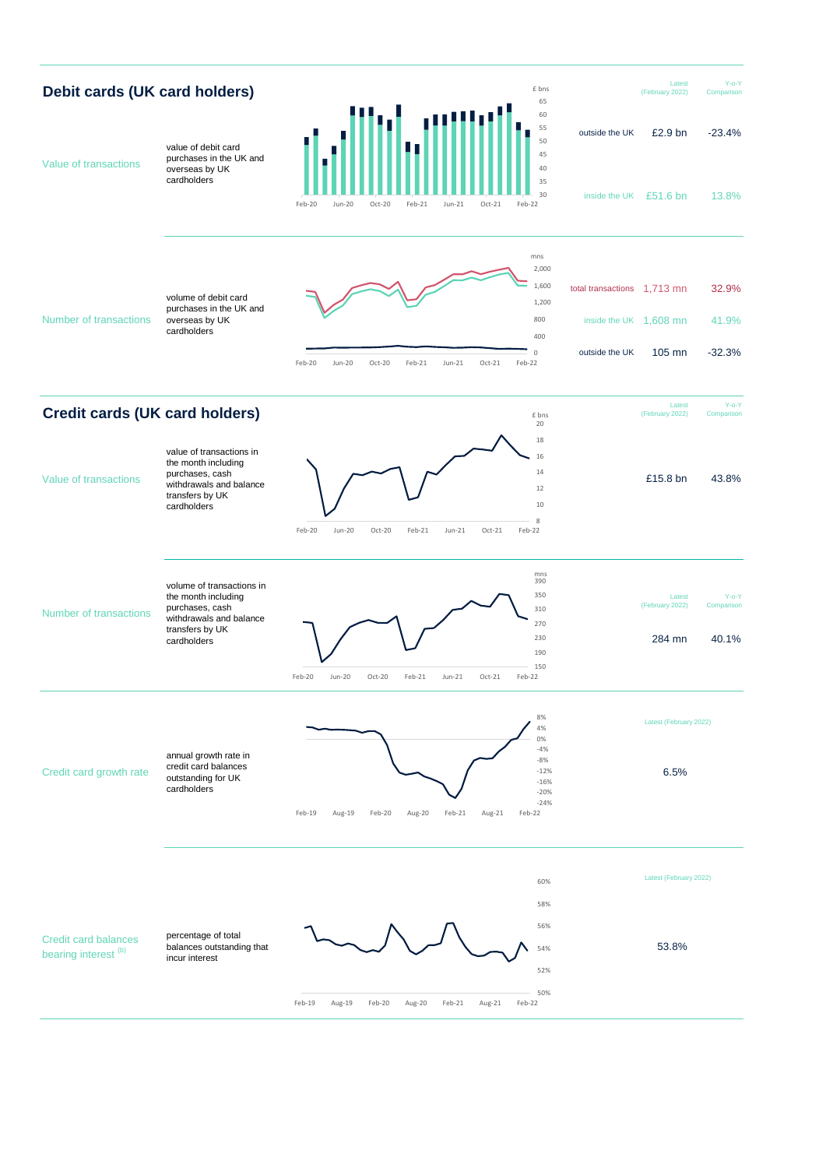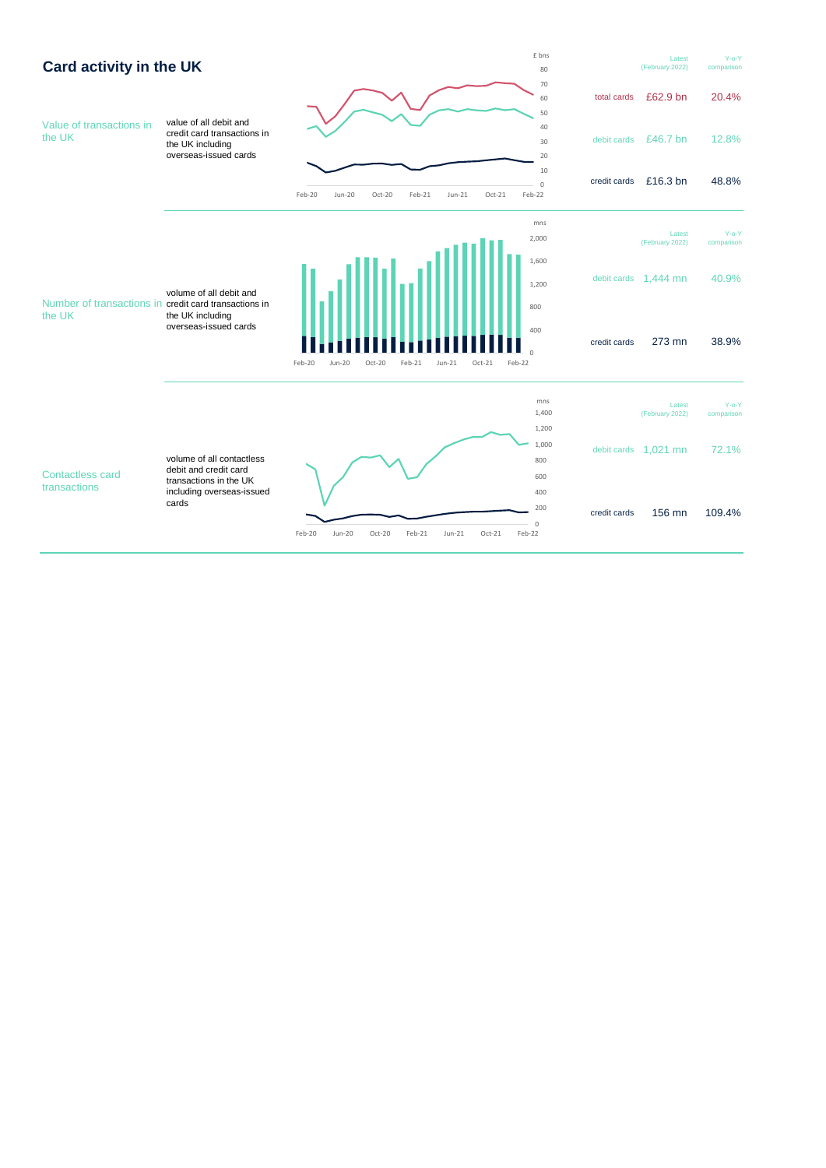![](_page_2_Figure_0.jpeg)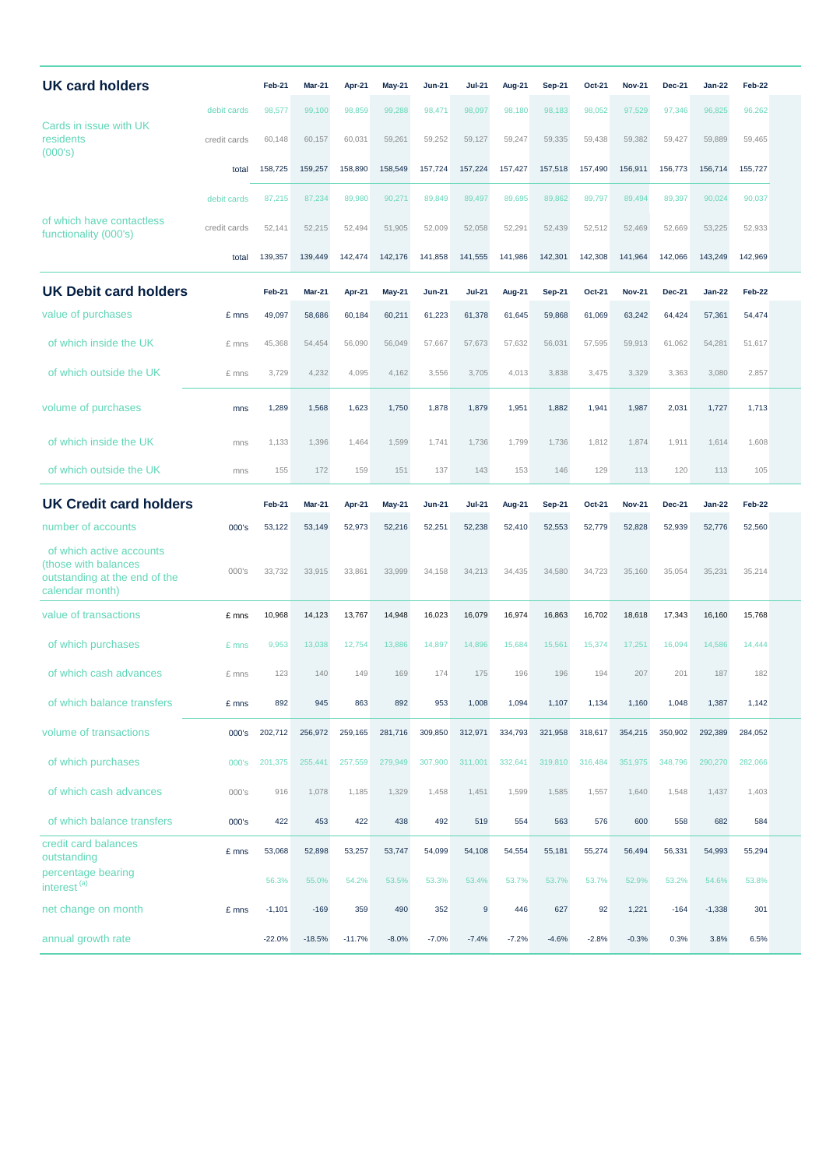| <b>UK card holders</b>                                                                               |              | Feb-21   | <b>Mar-21</b> | Apr-21   | May-21        | <b>Jun-21</b> | <b>Jul-21</b> | Aug-21  | <b>Sep-21</b> | Oct-21  | <b>Nov-21</b> | <b>Dec-21</b> | <b>Jan-22</b> | Feb-22  |  |
|------------------------------------------------------------------------------------------------------|--------------|----------|---------------|----------|---------------|---------------|---------------|---------|---------------|---------|---------------|---------------|---------------|---------|--|
| Cards in issue with UK<br>residents<br>(000's)                                                       | debit cards  | 98,577   | 99,100        | 98,859   | 99,288        | 98,471        | 98,097        | 98,180  | 98,183        | 98,052  | 97,529        | 97,346        | 96,825        | 96,262  |  |
|                                                                                                      | credit cards | 60,148   | 60,157        | 60,031   | 59,261        | 59,252        | 59,127        | 59,247  | 59,335        | 59,438  | 59,382        | 59,427        | 59,889        | 59,465  |  |
|                                                                                                      | total        | 158,725  | 159,257       | 158,890  | 158,549       | 157,724       | 157,224       | 157,427 | 157,518       | 157,490 | 156,911       | 156,773       | 156,714       | 155,727 |  |
|                                                                                                      | debit cards  | 87,215   | 87,234        | 89,980   | 90,271        | 89,849        | 89,497        | 89,695  | 89,862        | 89,797  | 89,494        | 89,397        | 90,024        | 90,037  |  |
| of which have contactless<br>functionality (000's)                                                   | credit cards | 52,141   | 52,215        | 52,494   | 51,905        | 52,009        | 52,058        | 52,291  | 52,439        | 52,512  | 52,469        | 52,669        | 53,225        | 52,933  |  |
|                                                                                                      | total        | 139,357  | 139,449       | 142,474  | 142,176       | 141,858       | 141,555       | 141,986 | 142,301       | 142,308 | 141,964       | 142,066       | 143,249       | 142,969 |  |
| <b>UK Debit card holders</b>                                                                         |              | Feb-21   | Mar-21        | Apr-21   | May-21        | <b>Jun-21</b> | <b>Jul-21</b> | Aug-21  | <b>Sep-21</b> | Oct-21  | <b>Nov-21</b> | <b>Dec-21</b> | <b>Jan-22</b> | Feb-22  |  |
| value of purchases                                                                                   | £ mns        | 49,097   | 58,686        | 60,184   | 60,211        | 61,223        | 61,378        | 61,645  | 59,868        | 61,069  | 63,242        | 64,424        | 57,361        | 54,474  |  |
| of which inside the UK                                                                               | £ mns        | 45,368   | 54,454        | 56,090   | 56,049        | 57,667        | 57,673        | 57,632  | 56,031        | 57,595  | 59,913        | 61,062        | 54,281        | 51,617  |  |
| of which outside the UK                                                                              | £ mns        | 3,729    | 4,232         | 4,095    | 4,162         | 3,556         | 3,705         | 4,013   | 3,838         | 3,475   | 3,329         | 3,363         | 3,080         | 2,857   |  |
| volume of purchases                                                                                  | mns          | 1,289    | 1,568         | 1,623    | 1,750         | 1,878         | 1,879         | 1,951   | 1,882         | 1,941   | 1,987         | 2,031         | 1,727         | 1,713   |  |
| of which inside the UK                                                                               | mns          | 1,133    | 1,396         | 1,464    | 1,599         | 1,741         | 1,736         | 1,799   | 1,736         | 1,812   | 1,874         | 1,911         | 1,614         | 1,608   |  |
| of which outside the UK                                                                              | mns          | 155      | 172           | 159      | 151           | 137           | 143           | 153     | 146           | 129     | 113           | 120           | 113           | 105     |  |
| <b>UK Credit card holders</b>                                                                        |              | Feb-21   | <b>Mar-21</b> | Apr-21   | <b>May-21</b> | <b>Jun-21</b> | Jul-21        | Aug-21  | <b>Sep-21</b> | Oct-21  | <b>Nov-21</b> | <b>Dec-21</b> | <b>Jan-22</b> | Feb-22  |  |
| number of accounts                                                                                   | 000's        | 53,122   | 53,149        | 52,973   | 52,216        | 52,251        | 52,238        | 52,410  | 52,553        | 52,779  | 52,828        | 52,939        | 52,776        | 52,560  |  |
| of which active accounts<br>(those with balances<br>outstanding at the end of the<br>calendar month) | 000's        | 33,732   | 33,915        | 33,861   | 33,999        | 34,158        | 34,213        | 34,435  | 34,580        | 34,723  | 35,160        | 35,054        | 35,231        | 35,214  |  |
| value of transactions                                                                                | £ mns        | 10,968   | 14,123        | 13,767   | 14,948        | 16,023        | 16,079        | 16,974  | 16,863        | 16,702  | 18,618        | 17,343        | 16,160        | 15,768  |  |
| of which purchases                                                                                   | £ mns        | 9,953    | 13,038        | 12,754   | 13,886        | 14,897        | 14,896        | 15,684  | 15,561        | 15,374  | 17,251        | 16,094        | 14,586        | 14,444  |  |
| of which cash advances                                                                               | £ mns        | 123      | 140           | 149      | 169           | 174           | 175           | 196     | 196           | 194     | 207           | 201           | 187           | 182     |  |
| of which balance transfers                                                                           | £ mns        | 892      | 945           | 863      | 892           | 953           | 1,008         | 1,094   | 1,107         | 1,134   | 1,160         | 1,048         | 1,387         | 1,142   |  |
| volume of transactions                                                                               | 000's        | 202,712  | 256,972       | 259,165  | 281,716       | 309,850       | 312,971       | 334,793 | 321,958       | 318,617 | 354,215       | 350,902       | 292,389       | 284,052 |  |
| of which purchases                                                                                   | 000's        | 201,375  | 255,441       | 257,559  | 279,949       | 307,900       | 311,001       | 332,641 | 319,810       | 316,484 | 351,975       | 348,796       | 290,270       | 282,066 |  |
| of which cash advances                                                                               | 000's        | 916      | 1,078         | 1,185    | 1,329         | 1,458         | 1,451         | 1,599   | 1,585         | 1,557   | 1,640         | 1,548         | 1,437         | 1,403   |  |
| of which balance transfers                                                                           | 000's        | 422      | 453           | 422      | 438           | 492           | 519           | 554     | 563           | 576     | 600           | 558           | 682           | 584     |  |
| credit card balances<br>outstanding                                                                  | £ mns        | 53,068   | 52,898        | 53,257   | 53,747        | 54,099        | 54,108        | 54,554  | 55,181        | 55,274  | 56,494        | 56,331        | 54,993        | 55,294  |  |
| percentage bearing<br>interest <sup>(a)</sup>                                                        |              | 56.3%    | 55.0%         | 54.2%    | 53.5%         | 53.3%         | 53.4%         | 53.7%   | 53.7%         | 53.7%   | 52.9%         | 53.2%         | 54.6%         | 53.8%   |  |
| net change on month                                                                                  | £ mns        | $-1,101$ | $-169$        | 359      | 490           | 352           | $9\,$         | 446     | 627           | 92      | 1,221         | $-164$        | $-1,338$      | 301     |  |
| annual growth rate                                                                                   |              | $-22.0%$ | $-18.5%$      | $-11.7%$ | $-8.0%$       | $-7.0%$       | $-7.4%$       | $-7.2%$ | $-4.6%$       | $-2.8%$ | $-0.3%$       | 0.3%          | 3.8%          | 6.5%    |  |